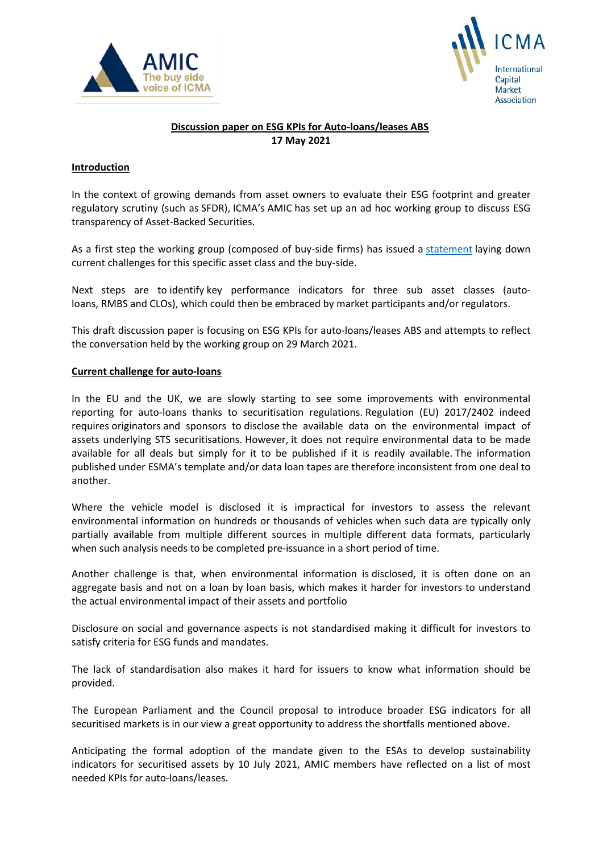



# **Discussion paper on ESG KPIs for Auto-loans/leases ABS 17 May 2021**

# **Introduction**

In the context of growing demands from asset owners to evaluate their ESG footprint and greater regulatory scrutiny (such as SFDR), ICMA's AMIC has set up an ad hoc working group to discuss ESG transparency of Asset-Backed Securities.

As a first step the working group (composed of buy-side firms) has issued a [statement](https://www.icmagroup.org/assets/documents/Regulatory/AMIC/ICMA-AMIC-statement-ABS-ESG-final-180321.pdf) laying down current challenges for this specific asset class and the buy-side.

Next steps are to identify key performance indicators for three sub asset classes (autoloans, RMBS and CLOs), which could then be embraced by market participants and/or regulators.

This draft discussion paper is focusing on ESG KPIs for auto-loans/leases ABS and attempts to reflect the conversation held by the working group on 29 March 2021.

### **Current challenge for auto-loans**

In the EU and the UK, we are slowly starting to see some improvements with environmental reporting for auto-loans thanks to securitisation regulations. Regulation (EU) 2017/2402 indeed requires originators and sponsors to disclose the available data on the environmental impact of assets underlying STS securitisations. However, it does not require environmental data to be made available for all deals but simply for it to be published if it is readily available. The information published under ESMA's template and/or data loan tapes are therefore inconsistent from one deal to another.

Where the vehicle model is disclosed it is impractical for investors to assess the relevant environmental information on hundreds or thousands of vehicles when such data are typically only partially available from multiple different sources in multiple different data formats, particularly when such analysis needs to be completed pre-issuance in a short period of time.

Another challenge is that, when environmental information is disclosed, it is often done on an aggregate basis and not on a loan by loan basis, which makes it harder for investors to understand the actual environmental impact of their assets and portfolio

Disclosure on social and governance aspects is not standardised making it difficult for investors to satisfy criteria for ESG funds and mandates.

The lack of standardisation also makes it hard for issuers to know what information should be provided.

The European Parliament and the Council proposal to introduce broader ESG indicators for all securitised markets is in our view a great opportunity to address the shortfalls mentioned above.

Anticipating the formal adoption of the mandate given to the ESAs to develop sustainability indicators for securitised assets by 10 July 2021, AMIC members have reflected on a list of most needed KPIs for auto-loans/leases.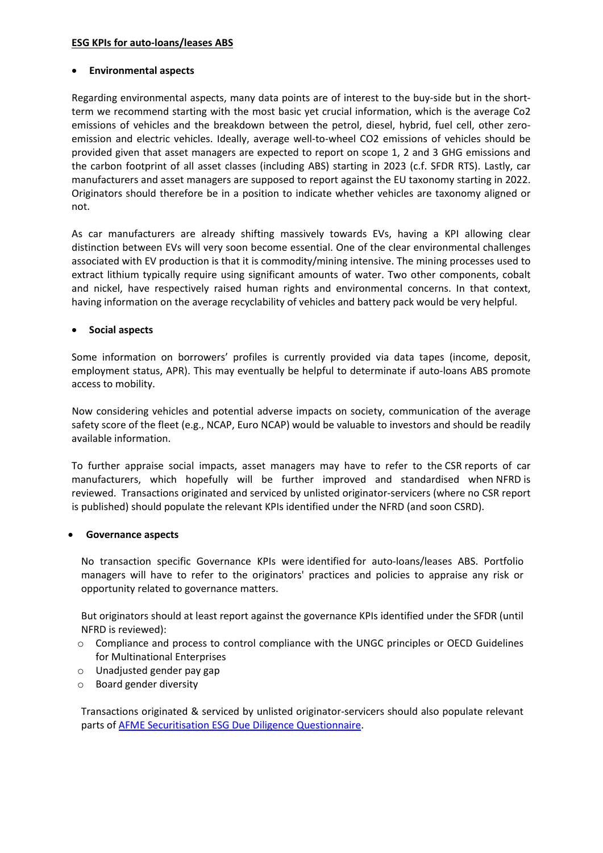# **ESG KPIs for auto-loans/leases ABS**

### • **Environmental aspects**

Regarding environmental aspects, many data points are of interest to the buy-side but in the shortterm we recommend starting with the most basic yet crucial information, which is the average Co2 emissions of vehicles and the breakdown between the petrol, diesel, hybrid, fuel cell, other zeroemission and electric vehicles. Ideally, average well-to-wheel CO2 emissions of vehicles should be provided given that asset managers are expected to report on scope 1, 2 and 3 GHG emissions and the carbon footprint of all asset classes (including ABS) starting in 2023 (c.f. SFDR RTS). Lastly, car manufacturers and asset managers are supposed to report against the EU taxonomy starting in 2022. Originators should therefore be in a position to indicate whether vehicles are taxonomy aligned or not.

As car manufacturers are already shifting massively towards EVs, having a KPI allowing clear distinction between EVs will very soon become essential. One of the clear environmental challenges associated with EV production is that it is commodity/mining intensive. The mining processes used to extract lithium typically require using significant amounts of water. Two other components, cobalt and nickel, have respectively raised human rights and environmental concerns. In that context, having information on the average recyclability of vehicles and battery pack would be very helpful.

## • **Social aspects**

Some information on borrowers' profiles is currently provided via data tapes (income, deposit, employment status, APR). This may eventually be helpful to determinate if auto-loans ABS promote access to mobility.

Now considering vehicles and potential adverse impacts on society, communication of the average safety score of the fleet (e.g., NCAP, Euro NCAP) would be valuable to investors and should be readily available information.

To further appraise social impacts, asset managers may have to refer to the CSR reports of car manufacturers, which hopefully will be further improved and standardised when NFRD is reviewed. Transactions originated and serviced by unlisted originator-servicers (where no CSR report is published) should populate the relevant KPIs identified under the NFRD (and soon CSRD).

### • **Governance aspects**

No transaction specific Governance KPIs were identified for auto-loans/leases ABS. Portfolio managers will have to refer to the originators' practices and policies to appraise any risk or opportunity related to governance matters.

But originators should at least report against the governance KPIs identified under the SFDR (until NFRD is reviewed):

- o Compliance and process to control compliance with the UNGC principles or OECD Guidelines for Multinational Enterprises
- o Unadjusted gender pay gap
- o Board gender diversity

Transactions originated & serviced by unlisted originator-servicers should also populate relevant parts of [AFME Securitisation ESG Due Diligence Questionnaire.](https://www.afme.eu/Portals/0/DispatchFeaturedImages/ESG%20Disclosure%20and%20Diligence%20Practices%20for%20the%20European%20Securitisation%20Market%20FINAL-2.pdf)